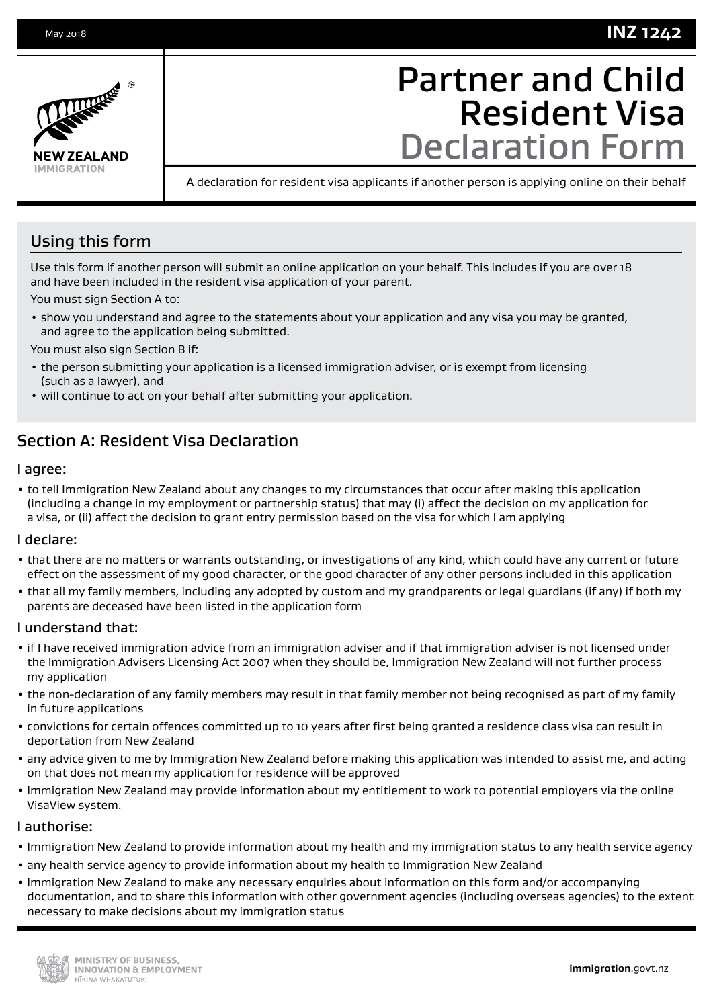## **INZ 1242**



# Partner and Child Resident Visa Declaration Form

A declaration for resident visa applicants if another person is applying online on their behalf

### Using this form

Use this form if another person will submit an online application on your behalf. This includes if you are over 18 and have been included in the resident visa application of your parent.

You must sign Section A to:

• show you understand and agree to the statements about your application and any visa you may be granted, and agree to the application being submitted.

You must also sign Section B if:

- the person submitting your application is a licensed immigration adviser, or is exempt from licensing (such as a lawyer), and
- will continue to act on your behalf after submitting your application.

## Section A: Resident Visa Declaration

#### I agree:

• to tell Immigration New Zealand about any changes to my circumstances that occur after making this application (including a change in my employment or partnership status) that may (i) affect the decision on my application for a visa, or (ii) affect the decision to grant entry permission based on the visa for which I am applying

#### I declare:

- that there are no matters or warrants outstanding, or investigations of any kind, which could have any current or future effect on the assessment of my good character, or the good character of any other persons included in this application
- that all my family members, including any adopted by custom and my grandparents or legal guardians (if any) if both my parents are deceased have been listed in the application form

#### I understand that:

- if I have received immigration advice from an immigration adviser and if that immigration adviser is not licensed under the Immigration Advisers Licensing Act 2007 when they should be, Immigration New Zealand will not further process my application
- the non-declaration of any family members may result in that family member not being recognised as part of my family in future applications
- convictions for certain offences committed up to 10 years after first being granted a residence class visa can result in deportation from New Zealand
- any advice given to me by Immigration New Zealand before making this application was intended to assist me, and acting on that does not mean my application for residence will be approved
- Immigration New Zealand may provide information about my entitlement to work to potential employers via the online VisaView system.

#### I authorise:

- Immigration New Zealand to provide information about my health and my immigration status to any health service agency
- any health service agency to provide information about my health to Immigration New Zealand
- Immigration New Zealand to make any necessary enquiries about information on this form and/or accompanying documentation, and to share this information with other government agencies (including overseas agencies) to the extent necessary to make decisions about my immigration status